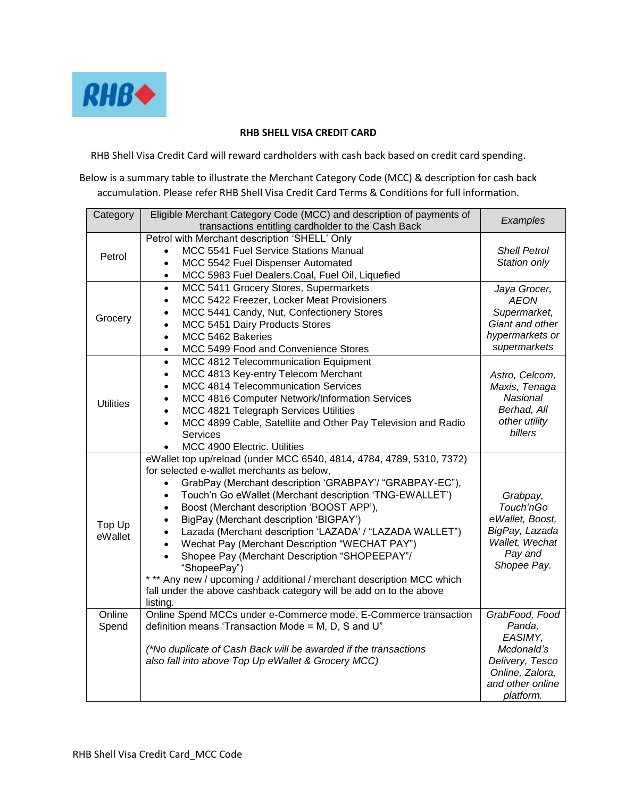

## **RHB SHELL VISA CREDIT CARD**

RHB Shell Visa Credit Card will reward cardholders with cash back based on credit card spending.

Below is a summary table to illustrate the Merchant Category Code (MCC) & description for cash back accumulation. Please refer RHB Shell Visa Credit Card Terms & Conditions for full information.

| Category          | Eligible Merchant Category Code (MCC) and description of payments of<br>transactions entitling cardholder to the Cash Back                                                                                                                                                                                                                                                                                                                                                                                                                                                                                                                                                                                                  | Examples                                                                                                                 |
|-------------------|-----------------------------------------------------------------------------------------------------------------------------------------------------------------------------------------------------------------------------------------------------------------------------------------------------------------------------------------------------------------------------------------------------------------------------------------------------------------------------------------------------------------------------------------------------------------------------------------------------------------------------------------------------------------------------------------------------------------------------|--------------------------------------------------------------------------------------------------------------------------|
| Petrol            | Petrol with Merchant description 'SHELL' Only<br>MCC 5541 Fuel Service Stations Manual<br>$\bullet$<br>MCC 5542 Fuel Dispenser Automated<br>$\bullet$<br>MCC 5983 Fuel Dealers.Coal, Fuel Oil, Liquefied<br>٠                                                                                                                                                                                                                                                                                                                                                                                                                                                                                                               | <b>Shell Petrol</b><br>Station only                                                                                      |
| Grocery           | MCC 5411 Grocery Stores, Supermarkets<br>$\bullet$<br>MCC 5422 Freezer, Locker Meat Provisioners<br>$\bullet$<br>MCC 5441 Candy, Nut, Confectionery Stores<br>MCC 5451 Dairy Products Stores<br>MCC 5462 Bakeries<br>$\bullet$<br>MCC 5499 Food and Convenience Stores<br>$\bullet$                                                                                                                                                                                                                                                                                                                                                                                                                                         | Jaya Grocer,<br><b>AEON</b><br>Supermarket,<br>Giant and other<br>hypermarkets or<br>supermarkets                        |
| <b>Utilities</b>  | MCC 4812 Telecommunication Equipment<br>$\bullet$<br>MCC 4813 Key-entry Telecom Merchant<br>$\bullet$<br>MCC 4814 Telecommunication Services<br>MCC 4816 Computer Network/Information Services<br>MCC 4821 Telegraph Services Utilities<br>MCC 4899 Cable, Satellite and Other Pay Television and Radio<br>Services<br>MCC 4900 Electric. Utilities                                                                                                                                                                                                                                                                                                                                                                         | Astro, Celcom,<br>Maxis, Tenaga<br>Nasional<br>Berhad, All<br>other utility<br>billers                                   |
| Top Up<br>eWallet | eWallet top up/reload (under MCC 6540, 4814, 4784, 4789, 5310, 7372)<br>for selected e-wallet merchants as below,<br>GrabPay (Merchant description 'GRABPAY'/ "GRABPAY-EC"),<br>$\bullet$<br>Touch'n Go eWallet (Merchant description 'TNG-EWALLET')<br>$\bullet$<br>Boost (Merchant description 'BOOST APP'),<br>$\bullet$<br>BigPay (Merchant description 'BIGPAY')<br>$\bullet$<br>Lazada (Merchant description 'LAZADA' / "LAZADA WALLET")<br>Wechat Pay (Merchant Description "WECHAT PAY")<br>Shopee Pay (Merchant Description "SHOPEEPAY"/<br>"ShopeePay")<br>*** Any new / upcoming / additional / merchant description MCC which<br>fall under the above cashback category will be add on to the above<br>listing. | Grabpay,<br>Touch'nGo<br>eWallet, Boost,<br>BigPay, Lazada<br>Wallet, Wechat<br>Pay and<br>Shopee Pay.                   |
| Online<br>Spend   | Online Spend MCCs under e-Commerce mode. E-Commerce transaction<br>definition means 'Transaction Mode = M, D, S and U"<br>(*No duplicate of Cash Back will be awarded if the transactions<br>also fall into above Top Up eWallet & Grocery MCC)                                                                                                                                                                                                                                                                                                                                                                                                                                                                             | GrabFood, Food<br>Panda,<br>EASIMY,<br>Mcdonald's<br>Delivery, Tesco<br>Online, Zalora,<br>and other online<br>platform. |